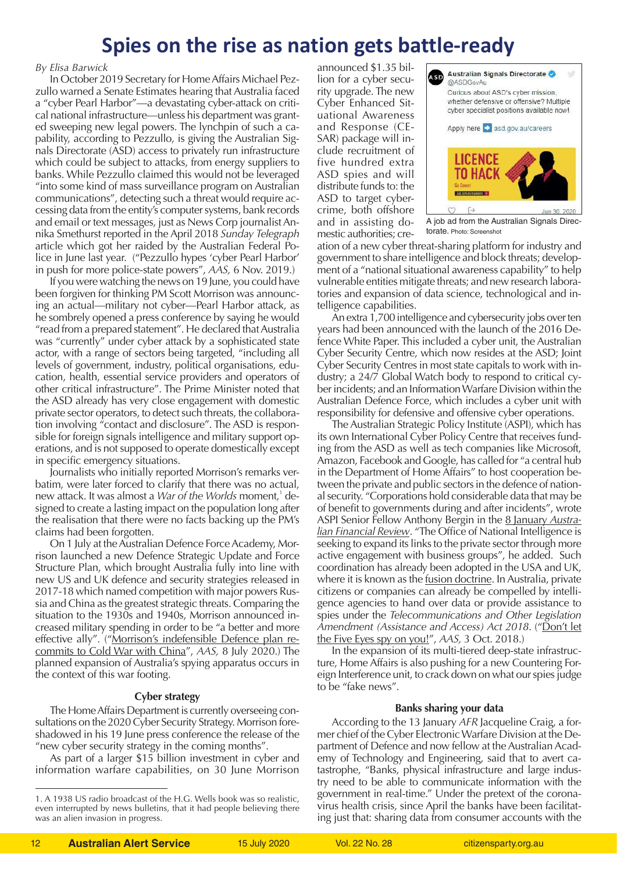# **Spies on the rise as nation gets battle-ready**

### *By Elisa Barwick*

In October 2019 Secretary for Home Affairs Michael Pezzullo warned a Senate Estimates hearing that Australia faced a "cyber Pearl Harbor"—a devastating cyber-attack on critical national infrastructure—unless his department was granted sweeping new legal powers. The lynchpin of such a capability, according to Pezzullo, is giving the Australian Signals Directorate (ASD) access to privately run infrastructure which could be subject to attacks, from energy suppliers to banks. While Pezzullo claimed this would not be leveraged "into some kind of mass surveillance program on Australian communications", detecting such a threat would require accessing data from the entity's computer systems, bank records and email or text messages, just as News Corp journalist Annika Smethurst reported in the April 2018 *Sunday Telegraph* article which got her raided by the Australian Federal Police in June last year. ("Pezzullo hypes 'cyber Pearl Harbor' in push for more police-state powers", *AAS,* 6 Nov. 2019.)

If you were watching the news on 19 June, you could have been forgiven for thinking PM Scott Morrison was announcing an actual—military not cyber—Pearl Harbor attack, as he sombrely opened a press conference by saying he would "read from a prepared statement". He declared that Australia was "currently" under cyber attack by a sophisticated state actor, with a range of sectors being targeted, "including all levels of government, industry, political organisations, education, health, essential service providers and operators of other critical infrastructure". The Prime Minister noted that the ASD already has very close engagement with domestic private sector operators, to detect such threats, the collaboration involving "contact and disclosure". The ASD is responsible for foreign signals intelligence and military support operations, and is not supposed to operate domestically except in specific emergency situations.

Journalists who initially reported Morrison's remarks verbatim, were later forced to clarify that there was no actual, new attack. It was almost a *War of the Worlds* moment,<sup>1</sup> designed to create a lasting impact on the population long after the realisation that there were no facts backing up the PM's claims had been forgotten.

On 1 July at the Australian Defence Force Academy, Morrison launched a new Defence Strategic Update and Force Structure Plan, which brought Australia fully into line with new US and UK defence and security strategies released in 2017-18 which named competition with major powers Russia and China as the greatest strategic threats. Comparing the situation to the 1930s and 1940s, Morrison announced increased military spending in order to be "a better and more effective ally". (["Morrison's indefensible Defence plan re](https://citizensparty.org.au/morrisons-indefensible-defence-plan-re-commits-cold-war-china)[commits to Cold War with China](https://citizensparty.org.au/morrisons-indefensible-defence-plan-re-commits-cold-war-china)", *AAS,* 8 July 2020.) The planned expansion of Australia's spying apparatus occurs in the context of this war footing.

## **Cyber strategy**

The Home Affairs Department is currently overseeing consultations on the 2020 Cyber Security Strategy. Morrison foreshadowed in his 19 June press conference the release of the "new cyber security strategy in the coming months".

As part of a larger \$15 billion investment in cyber and information warfare capabilities, on 30 June Morrison

announced \$1.35 billion for a cyber security upgrade. The new Cyber Enhanced Situational Awareness and Response (CE-SAR) package will include recruitment of five hundred extra ASD spies and will distribute funds to: the ASD to target cybercrime, both offshore and in assisting domestic authorities; cre-



A job ad from the Australian Signals Directorate. Photo: Screenshot

ation of a new cyber threat-sharing platform for industry and government to share intelligence and block threats; development of a "national situational awareness capability" to help vulnerable entities mitigate threats; and new research laboratories and expansion of data science, technological and intelligence capabilities.

An extra 1,700 intelligence and cybersecurity jobs over ten years had been announced with the launch of the 2016 Defence White Paper. This included a cyber unit, the Australian Cyber Security Centre, which now resides at the ASD; Joint Cyber Security Centres in most state capitals to work with industry; a 24/7 Global Watch body to respond to critical cyber incidents; and an Information Warfare Division within the Australian Defence Force, which includes a cyber unit with responsibility for defensive and offensive cyber operations.

The Australian Strategic Policy Institute (ASPI), which has its own International Cyber Policy Centre that receives funding from the ASD as well as tech companies like Microsoft, Amazon, Facebook and Google, has called for "a central hub in the Department of Home Affairs" to host cooperation between the private and public sectors in the defence of national security. "Corporations hold considerable data that may be of benefit to governments during and after incidents", wrote ASPI Senior Fellow Anthony Bergin in the [8 January](https://www.afr.com/policy/foreign-affairs/end-secrecy-key-to-fill-the-cybersecurity-void-between-government-and-b-20200108-p53por) *Austra[lian Financial Review](https://www.afr.com/policy/foreign-affairs/end-secrecy-key-to-fill-the-cybersecurity-void-between-government-and-b-20200108-p53por)*. "The Office of National Intelligence is seeking to expand its links to the private sector through more active engagement with business groups", he added. Such coordination has already been adopted in the USA and UK, where it is known as the <u>fusion doctrine</u>. In Australia, private citizens or companies can already be compelled by intelligence agencies to hand over data or provide assistance to spies under the *Telecommunications and Other Legislation Amendment (Assistance and Access) Act 2018*. (["Don't let](https://citizensparty.org.au/media-releases/dont-let-five-eyes-spy-you) [the Five Eyes spy on you!](https://citizensparty.org.au/media-releases/dont-let-five-eyes-spy-you)", *AAS,* 3 Oct. 2018.)

In the expansion of its multi-tiered deep-state infrastructure, Home Affairs is also pushing for a new Countering Foreign Interference unit, to crack down on what our spies judge to be "fake news".

## **Banks sharing your data**

According to the 13 January *AFR* Jacqueline Craig, a former chief of the Cyber Electronic Warfare Division at the Department of Defence and now fellow at the Australian Academy of Technology and Engineering, said that to avert catastrophe, "Banks, physical infrastructure and large industry need to be able to communicate information with the government in real-time." Under the pretext of the coronavirus health crisis, since April the banks have been facilitating just that: sharing data from consumer accounts with the

<sup>1.</sup> A 1938 US radio broadcast of the H.G. Wells book was so realistic, even interrupted by news bulletins, that it had people believing there was an alien invasion in progress.